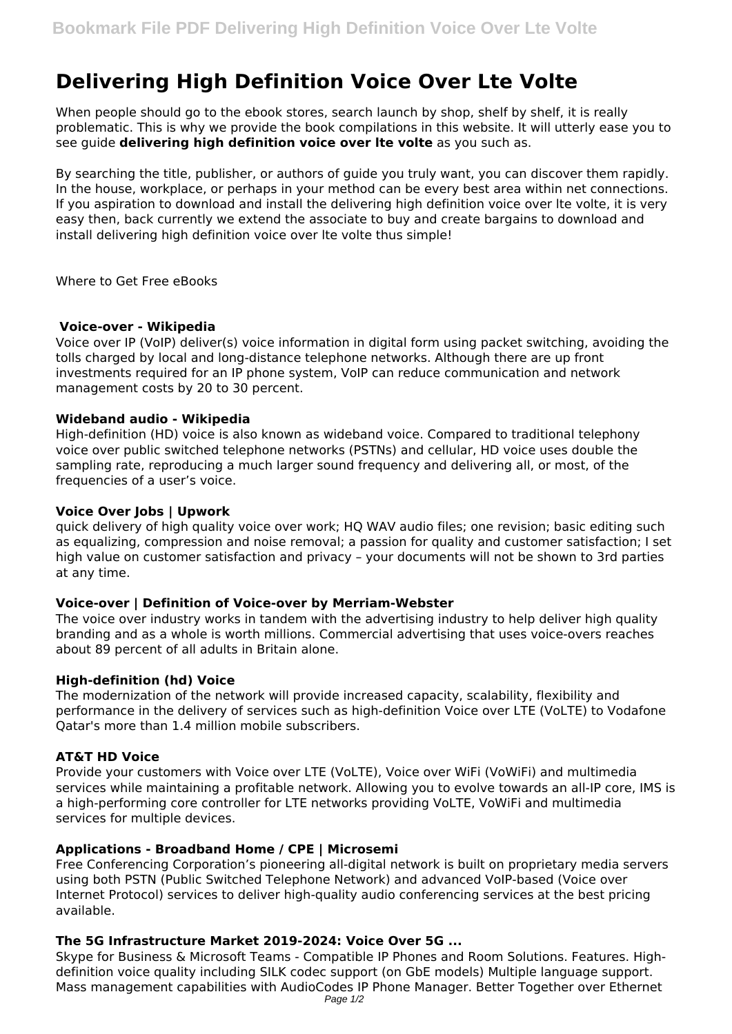# **Delivering High Definition Voice Over Lte Volte**

When people should go to the ebook stores, search launch by shop, shelf by shelf, it is really problematic. This is why we provide the book compilations in this website. It will utterly ease you to see guide **delivering high definition voice over lte volte** as you such as.

By searching the title, publisher, or authors of guide you truly want, you can discover them rapidly. In the house, workplace, or perhaps in your method can be every best area within net connections. If you aspiration to download and install the delivering high definition voice over lte volte, it is very easy then, back currently we extend the associate to buy and create bargains to download and install delivering high definition voice over lte volte thus simple!

Where to Get Free eBooks

#### **Voice-over - Wikipedia**

Voice over IP (VoIP) deliver(s) voice information in digital form using packet switching, avoiding the tolls charged by local and long-distance telephone networks. Although there are up front investments required for an IP phone system, VoIP can reduce communication and network management costs by 20 to 30 percent.

#### **Wideband audio - Wikipedia**

High-definition (HD) voice is also known as wideband voice. Compared to traditional telephony voice over public switched telephone networks (PSTNs) and cellular, HD voice uses double the sampling rate, reproducing a much larger sound frequency and delivering all, or most, of the frequencies of a user's voice.

# **Voice Over Jobs | Upwork**

quick delivery of high quality voice over work; HQ WAV audio files; one revision; basic editing such as equalizing, compression and noise removal; a passion for quality and customer satisfaction; I set high value on customer satisfaction and privacy – your documents will not be shown to 3rd parties at any time.

#### **Voice-over | Definition of Voice-over by Merriam-Webster**

The voice over industry works in tandem with the advertising industry to help deliver high quality branding and as a whole is worth millions. Commercial advertising that uses voice-overs reaches about 89 percent of all adults in Britain alone.

#### **High-definition (hd) Voice**

The modernization of the network will provide increased capacity, scalability, flexibility and performance in the delivery of services such as high-definition Voice over LTE (VoLTE) to Vodafone Qatar's more than 1.4 million mobile subscribers.

# **AT&T HD Voice**

Provide your customers with Voice over LTE (VoLTE), Voice over WiFi (VoWiFi) and multimedia services while maintaining a profitable network. Allowing you to evolve towards an all-IP core, IMS is a high-performing core controller for LTE networks providing VoLTE, VoWiFi and multimedia services for multiple devices.

# **Applications - Broadband Home / CPE | Microsemi**

Free Conferencing Corporation's pioneering all-digital network is built on proprietary media servers using both PSTN (Public Switched Telephone Network) and advanced VoIP-based (Voice over Internet Protocol) services to deliver high-quality audio conferencing services at the best pricing available.

# **The 5G Infrastructure Market 2019-2024: Voice Over 5G ...**

Skype for Business & Microsoft Teams - Compatible IP Phones and Room Solutions. Features. Highdefinition voice quality including SILK codec support (on GbE models) Multiple language support. Mass management capabilities with AudioCodes IP Phone Manager. Better Together over Ethernet Page 1/2